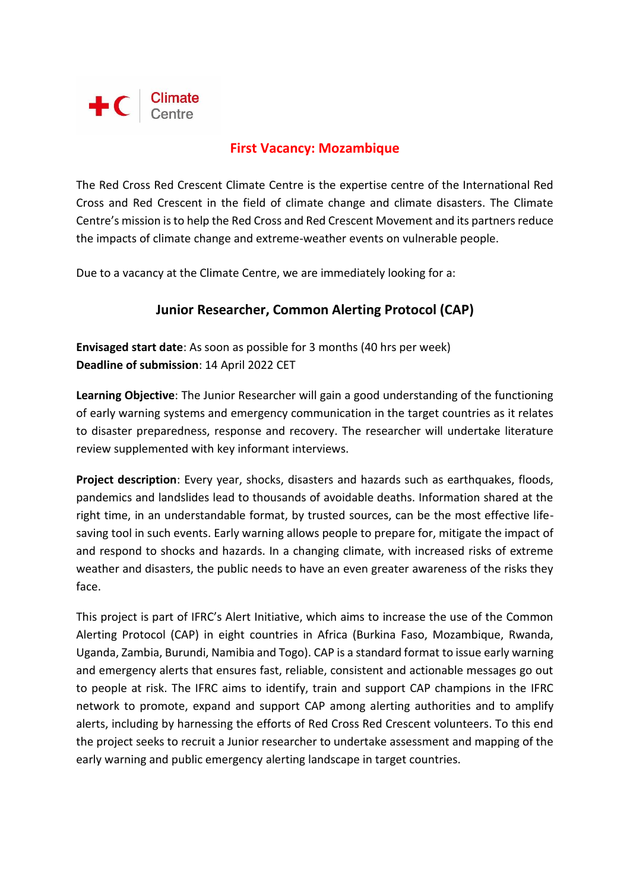

### **First Vacancy: Mozambique**

The Red Cross Red Crescent Climate Centre is the expertise centre of the International Red Cross and Red Crescent in the field of climate change and climate disasters. The Climate Centre's mission is to help the Red Cross and Red Crescent Movement and its partners reduce the impacts of climate change and extreme-weather events on vulnerable people.

Due to a vacancy at the Climate Centre, we are immediately looking for a:

# **Junior Researcher, Common Alerting Protocol (CAP)**

**Envisaged start date**: As soon as possible for 3 months (40 hrs per week) **Deadline of submission**: 14 April 2022 CET

**Learning Objective**: The Junior Researcher will gain a good understanding of the functioning of early warning systems and emergency communication in the target countries as it relates to disaster preparedness, response and recovery. The researcher will undertake literature review supplemented with key informant interviews.

**Project description**: Every year, shocks, disasters and hazards such as earthquakes, floods, pandemics and landslides lead to thousands of avoidable deaths. Information shared at the right time, in an understandable format, by trusted sources, can be the most effective lifesaving tool in such events. Early warning allows people to prepare for, mitigate the impact of and respond to shocks and hazards. In a changing climate, with increased risks of extreme weather and disasters, the public needs to have an even greater awareness of the risks they face.

This project is part of IFRC's Alert Initiative, which aims to increase the use of the Common Alerting Protocol (CAP) in eight countries in Africa (Burkina Faso, Mozambique, Rwanda, Uganda, Zambia, Burundi, Namibia and Togo). CAP is a standard format to issue early warning and emergency alerts that ensures fast, reliable, consistent and actionable messages go out to people at risk. The IFRC aims to identify, train and support CAP champions in the IFRC network to promote, expand and support CAP among alerting authorities and to amplify alerts, including by harnessing the efforts of Red Cross Red Crescent volunteers. To this end the project seeks to recruit a Junior researcher to undertake assessment and mapping of the early warning and public emergency alerting landscape in target countries.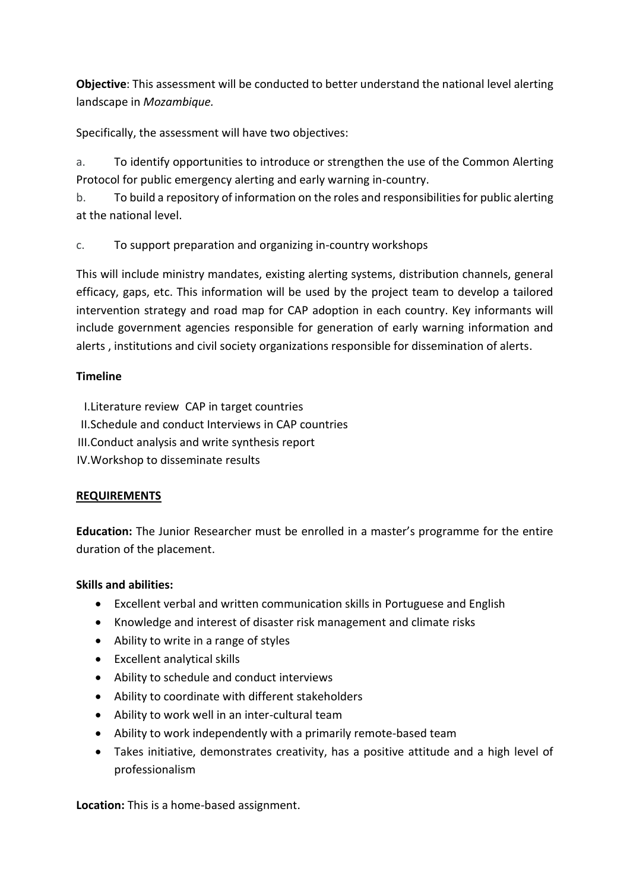**Objective**: This assessment will be conducted to better understand the national level alerting landscape in *Mozambique.*

Specifically, the assessment will have two objectives:

a. To identify opportunities to introduce or strengthen the use of the Common Alerting Protocol for public emergency alerting and early warning in-country.

b. To build a repository of information on the roles and responsibilities for public alerting at the national level.

c. To support preparation and organizing in-country workshops

This will include ministry mandates, existing alerting systems, distribution channels, general efficacy, gaps, etc. This information will be used by the project team to develop a tailored intervention strategy and road map for CAP adoption in each country. Key informants will include government agencies responsible for generation of early warning information and alerts , institutions and civil society organizations responsible for dissemination of alerts.

### **Timeline**

I.Literature review CAP in target countries

- II.Schedule and conduct Interviews in CAP countries
- III.Conduct analysis and write synthesis report
- IV.Workshop to disseminate results

# **REQUIREMENTS**

**Education:** The Junior Researcher must be enrolled in a master's programme for the entire duration of the placement.

### **Skills and abilities:**

- Excellent verbal and written communication skills in Portuguese and English
- Knowledge and interest of disaster risk management and climate risks
- Ability to write in a range of styles
- Excellent analytical skills
- Ability to schedule and conduct interviews
- Ability to coordinate with different stakeholders
- Ability to work well in an inter-cultural team
- Ability to work independently with a primarily remote-based team
- Takes initiative, demonstrates creativity, has a positive attitude and a high level of professionalism

**Location:** This is a home-based assignment.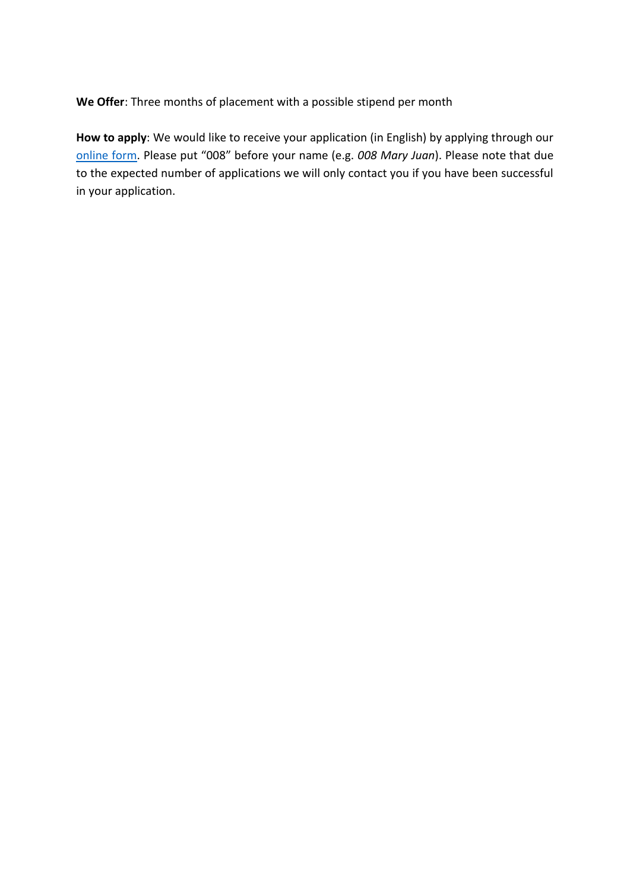**We Offer**: Three months of placement with a possible stipend per month

**How to apply**: We would like to receive your application (in English) by applying through our [online form.](https://forms.office.com/pages/responsepage.aspx?id=kJer0-Jq2EuqXgKGRIPnxyWATixdyg9CtkzuQuPTuCNUNVQ2N0FQTjVVRlhESUw2STBQVE1IRFdaMS4u) Please put "008" before your name (e.g. *008 Mary Juan*). Please note that due to the expected number of applications we will only contact you if you have been successful in your application.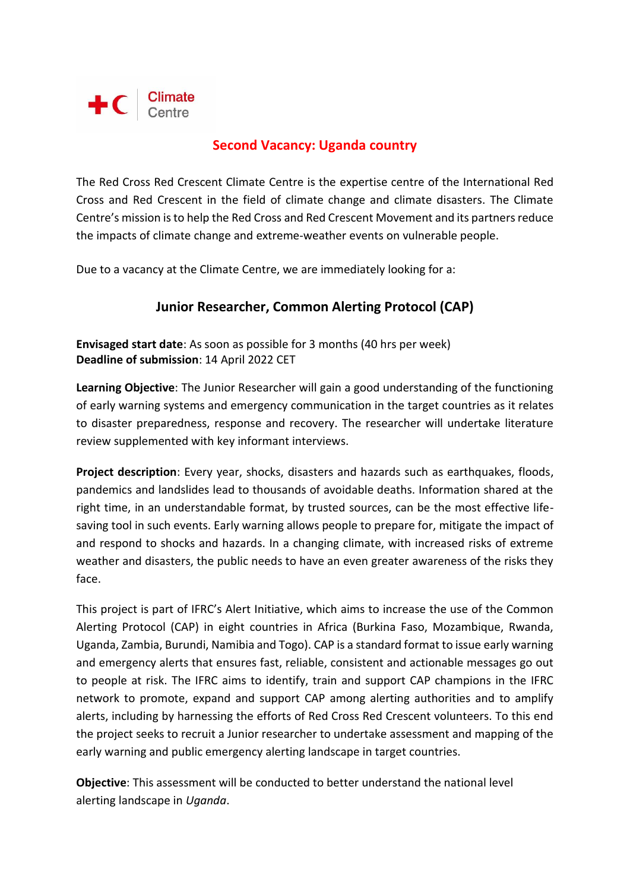

# **Second Vacancy: Uganda country**

The Red Cross Red Crescent Climate Centre is the expertise centre of the International Red Cross and Red Crescent in the field of climate change and climate disasters. The Climate Centre's mission is to help the Red Cross and Red Crescent Movement and its partners reduce the impacts of climate change and extreme-weather events on vulnerable people.

Due to a vacancy at the Climate Centre, we are immediately looking for a:

# **Junior Researcher, Common Alerting Protocol (CAP)**

**Envisaged start date**: As soon as possible for 3 months (40 hrs per week) **Deadline of submission**: 14 April 2022 CET

**Learning Objective**: The Junior Researcher will gain a good understanding of the functioning of early warning systems and emergency communication in the target countries as it relates to disaster preparedness, response and recovery. The researcher will undertake literature review supplemented with key informant interviews.

**Project description**: Every year, shocks, disasters and hazards such as earthquakes, floods, pandemics and landslides lead to thousands of avoidable deaths. Information shared at the right time, in an understandable format, by trusted sources, can be the most effective lifesaving tool in such events. Early warning allows people to prepare for, mitigate the impact of and respond to shocks and hazards. In a changing climate, with increased risks of extreme weather and disasters, the public needs to have an even greater awareness of the risks they face.

This project is part of IFRC's Alert Initiative, which aims to increase the use of the Common Alerting Protocol (CAP) in eight countries in Africa (Burkina Faso, Mozambique, Rwanda, Uganda, Zambia, Burundi, Namibia and Togo). CAP is a standard format to issue early warning and emergency alerts that ensures fast, reliable, consistent and actionable messages go out to people at risk. The IFRC aims to identify, train and support CAP champions in the IFRC network to promote, expand and support CAP among alerting authorities and to amplify alerts, including by harnessing the efforts of Red Cross Red Crescent volunteers. To this end the project seeks to recruit a Junior researcher to undertake assessment and mapping of the early warning and public emergency alerting landscape in target countries.

**Objective**: This assessment will be conducted to better understand the national level alerting landscape in *Uganda*.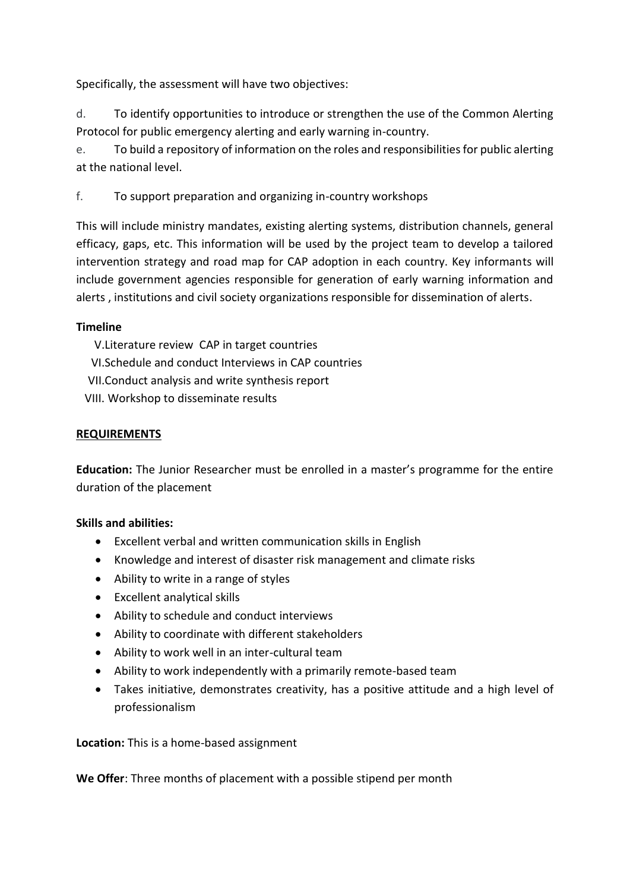Specifically, the assessment will have two objectives:

d. To identify opportunities to introduce or strengthen the use of the Common Alerting Protocol for public emergency alerting and early warning in-country.

e. To build a repository of information on the roles and responsibilities for public alerting at the national level.

f. To support preparation and organizing in-country workshops

This will include ministry mandates, existing alerting systems, distribution channels, general efficacy, gaps, etc. This information will be used by the project team to develop a tailored intervention strategy and road map for CAP adoption in each country. Key informants will include government agencies responsible for generation of early warning information and alerts , institutions and civil society organizations responsible for dissemination of alerts.

### **Timeline**

V.Literature review CAP in target countries

- VI.Schedule and conduct Interviews in CAP countries
- VII.Conduct analysis and write synthesis report
- VIII. Workshop to disseminate results

#### **REQUIREMENTS**

**Education:** The Junior Researcher must be enrolled in a master's programme for the entire duration of the placement

#### **Skills and abilities:**

- Excellent verbal and written communication skills in English
- Knowledge and interest of disaster risk management and climate risks
- Ability to write in a range of styles
- Excellent analytical skills
- Ability to schedule and conduct interviews
- Ability to coordinate with different stakeholders
- Ability to work well in an inter-cultural team
- Ability to work independently with a primarily remote-based team
- Takes initiative, demonstrates creativity, has a positive attitude and a high level of professionalism

**Location:** This is a home-based assignment

**We Offer**: Three months of placement with a possible stipend per month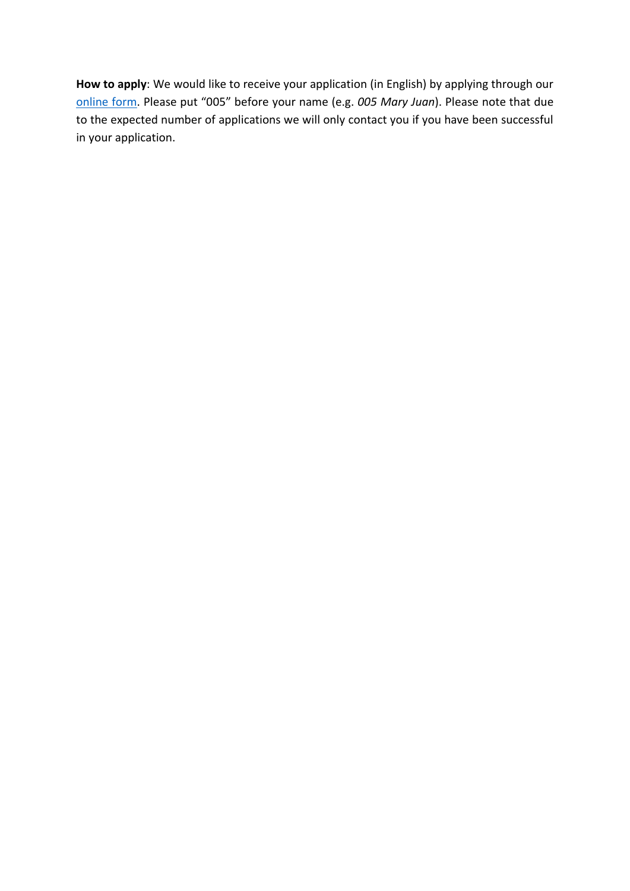**How to apply**: We would like to receive your application (in English) by applying through our [online form](https://forms.office.com/pages/responsepage.aspx?id=kJer0-Jq2EuqXgKGRIPnxyWATixdyg9CtkzuQuPTuCNUNVQ2N0FQTjVVRlhESUw2STBQVE1IRFdaMS4u). Please put "005" before your name (e.g. *005 Mary Juan*). Please note that due to the expected number of applications we will only contact you if you have been successful in your application.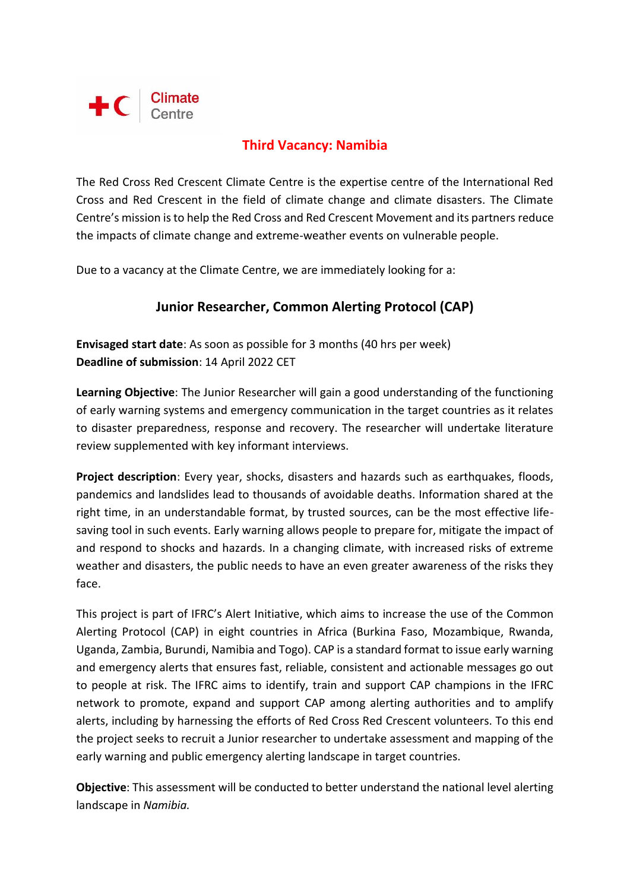

# **Third Vacancy: Namibia**

The Red Cross Red Crescent Climate Centre is the expertise centre of the International Red Cross and Red Crescent in the field of climate change and climate disasters. The Climate Centre's mission is to help the Red Cross and Red Crescent Movement and its partners reduce the impacts of climate change and extreme-weather events on vulnerable people.

Due to a vacancy at the Climate Centre, we are immediately looking for a:

# **Junior Researcher, Common Alerting Protocol (CAP)**

**Envisaged start date**: As soon as possible for 3 months (40 hrs per week) **Deadline of submission**: 14 April 2022 CET

**Learning Objective**: The Junior Researcher will gain a good understanding of the functioning of early warning systems and emergency communication in the target countries as it relates to disaster preparedness, response and recovery. The researcher will undertake literature review supplemented with key informant interviews.

**Project description**: Every year, shocks, disasters and hazards such as earthquakes, floods, pandemics and landslides lead to thousands of avoidable deaths. Information shared at the right time, in an understandable format, by trusted sources, can be the most effective lifesaving tool in such events. Early warning allows people to prepare for, mitigate the impact of and respond to shocks and hazards. In a changing climate, with increased risks of extreme weather and disasters, the public needs to have an even greater awareness of the risks they face.

This project is part of IFRC's Alert Initiative, which aims to increase the use of the Common Alerting Protocol (CAP) in eight countries in Africa (Burkina Faso, Mozambique, Rwanda, Uganda, Zambia, Burundi, Namibia and Togo). CAP is a standard format to issue early warning and emergency alerts that ensures fast, reliable, consistent and actionable messages go out to people at risk. The IFRC aims to identify, train and support CAP champions in the IFRC network to promote, expand and support CAP among alerting authorities and to amplify alerts, including by harnessing the efforts of Red Cross Red Crescent volunteers. To this end the project seeks to recruit a Junior researcher to undertake assessment and mapping of the early warning and public emergency alerting landscape in target countries.

**Objective**: This assessment will be conducted to better understand the national level alerting landscape in *Namibia.*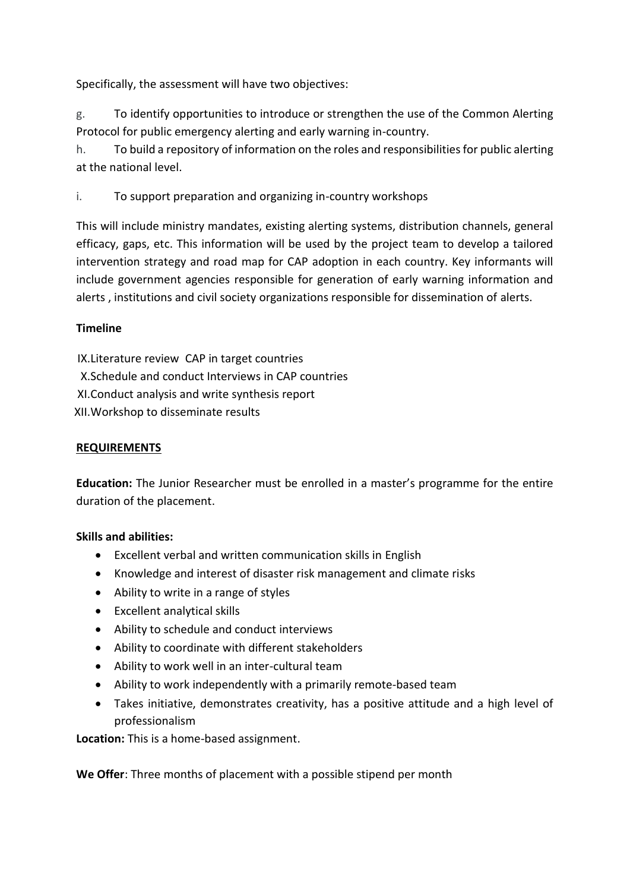Specifically, the assessment will have two objectives:

g. To identify opportunities to introduce or strengthen the use of the Common Alerting Protocol for public emergency alerting and early warning in-country.

h. To build a repository of information on the roles and responsibilities for public alerting at the national level.

i. To support preparation and organizing in-country workshops

This will include ministry mandates, existing alerting systems, distribution channels, general efficacy, gaps, etc. This information will be used by the project team to develop a tailored intervention strategy and road map for CAP adoption in each country. Key informants will include government agencies responsible for generation of early warning information and alerts , institutions and civil society organizations responsible for dissemination of alerts.

### **Timeline**

IX.Literature review CAP in target countries X.Schedule and conduct Interviews in CAP countries XI.Conduct analysis and write synthesis report XII.Workshop to disseminate results

### **REQUIREMENTS**

**Education:** The Junior Researcher must be enrolled in a master's programme for the entire duration of the placement.

### **Skills and abilities:**

- Excellent verbal and written communication skills in English
- Knowledge and interest of disaster risk management and climate risks
- Ability to write in a range of styles
- Excellent analytical skills
- Ability to schedule and conduct interviews
- Ability to coordinate with different stakeholders
- Ability to work well in an inter-cultural team
- Ability to work independently with a primarily remote-based team
- Takes initiative, demonstrates creativity, has a positive attitude and a high level of professionalism

**Location:** This is a home-based assignment.

**We Offer**: Three months of placement with a possible stipend per month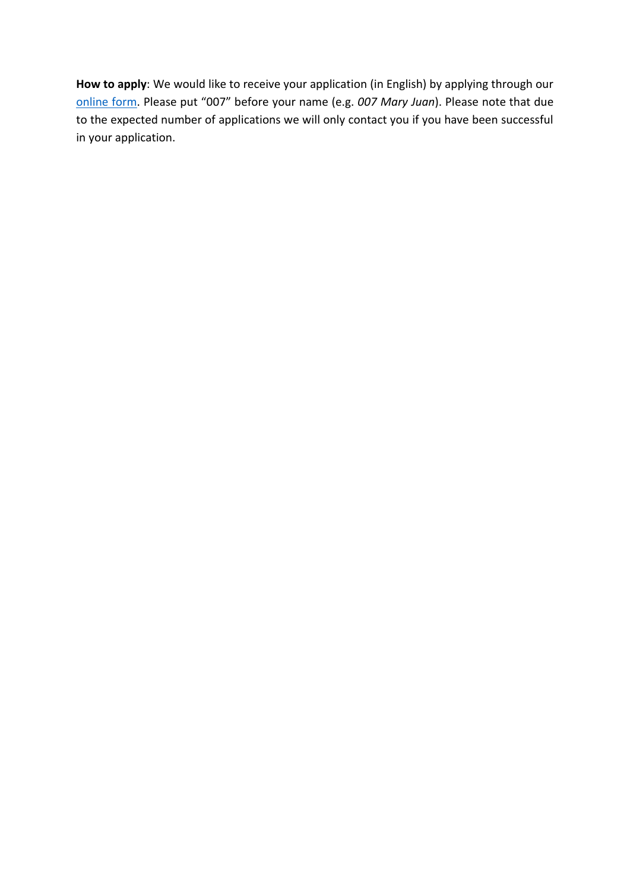**How to apply**: We would like to receive your application (in English) by applying through our [online form.](https://forms.office.com/pages/responsepage.aspx?id=kJer0-Jq2EuqXgKGRIPnxyWATixdyg9CtkzuQuPTuCNUNVQ2N0FQTjVVRlhESUw2STBQVE1IRFdaMS4u) Please put "007" before your name (e.g. *007 Mary Juan*). Please note that due to the expected number of applications we will only contact you if you have been successful in your application.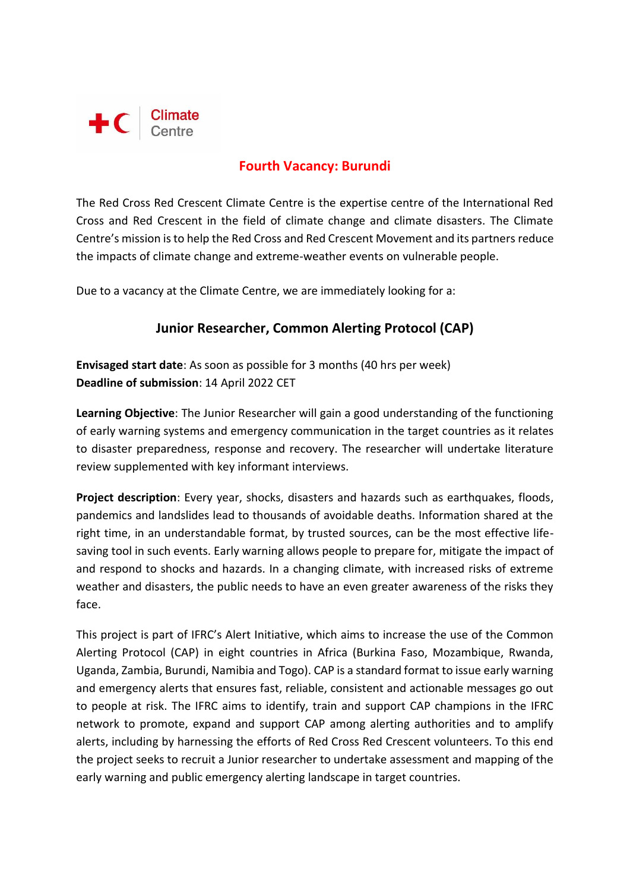

# **Fourth Vacancy: Burundi**

The Red Cross Red Crescent Climate Centre is the expertise centre of the International Red Cross and Red Crescent in the field of climate change and climate disasters. The Climate Centre's mission is to help the Red Cross and Red Crescent Movement and its partners reduce the impacts of climate change and extreme-weather events on vulnerable people.

Due to a vacancy at the Climate Centre, we are immediately looking for a:

# **Junior Researcher, Common Alerting Protocol (CAP)**

**Envisaged start date**: As soon as possible for 3 months (40 hrs per week) **Deadline of submission**: 14 April 2022 CET

**Learning Objective**: The Junior Researcher will gain a good understanding of the functioning of early warning systems and emergency communication in the target countries as it relates to disaster preparedness, response and recovery. The researcher will undertake literature review supplemented with key informant interviews.

**Project description**: Every year, shocks, disasters and hazards such as earthquakes, floods, pandemics and landslides lead to thousands of avoidable deaths. Information shared at the right time, in an understandable format, by trusted sources, can be the most effective lifesaving tool in such events. Early warning allows people to prepare for, mitigate the impact of and respond to shocks and hazards. In a changing climate, with increased risks of extreme weather and disasters, the public needs to have an even greater awareness of the risks they face.

This project is part of IFRC's Alert Initiative, which aims to increase the use of the Common Alerting Protocol (CAP) in eight countries in Africa (Burkina Faso, Mozambique, Rwanda, Uganda, Zambia, Burundi, Namibia and Togo). CAP is a standard format to issue early warning and emergency alerts that ensures fast, reliable, consistent and actionable messages go out to people at risk. The IFRC aims to identify, train and support CAP champions in the IFRC network to promote, expand and support CAP among alerting authorities and to amplify alerts, including by harnessing the efforts of Red Cross Red Crescent volunteers. To this end the project seeks to recruit a Junior researcher to undertake assessment and mapping of the early warning and public emergency alerting landscape in target countries.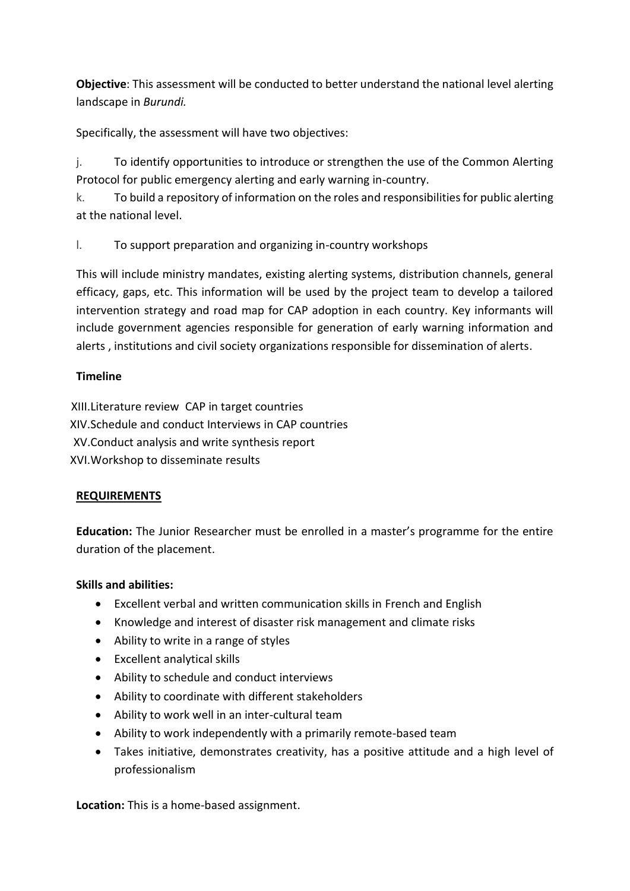**Objective**: This assessment will be conducted to better understand the national level alerting landscape in *Burundi.*

Specifically, the assessment will have two objectives:

j. To identify opportunities to introduce or strengthen the use of the Common Alerting Protocol for public emergency alerting and early warning in-country.

k. To build a repository of information on the roles and responsibilities for public alerting at the national level.

l. To support preparation and organizing in-country workshops

This will include ministry mandates, existing alerting systems, distribution channels, general efficacy, gaps, etc. This information will be used by the project team to develop a tailored intervention strategy and road map for CAP adoption in each country. Key informants will include government agencies responsible for generation of early warning information and alerts , institutions and civil society organizations responsible for dissemination of alerts.

### **Timeline**

XIII.Literature review CAP in target countries XIV.Schedule and conduct Interviews in CAP countries XV.Conduct analysis and write synthesis report XVI.Workshop to disseminate results

### **REQUIREMENTS**

**Education:** The Junior Researcher must be enrolled in a master's programme for the entire duration of the placement.

### **Skills and abilities:**

- Excellent verbal and written communication skills in French and English
- Knowledge and interest of disaster risk management and climate risks
- Ability to write in a range of styles
- Excellent analytical skills
- Ability to schedule and conduct interviews
- Ability to coordinate with different stakeholders
- Ability to work well in an inter-cultural team
- Ability to work independently with a primarily remote-based team
- Takes initiative, demonstrates creativity, has a positive attitude and a high level of professionalism

**Location:** This is a home-based assignment.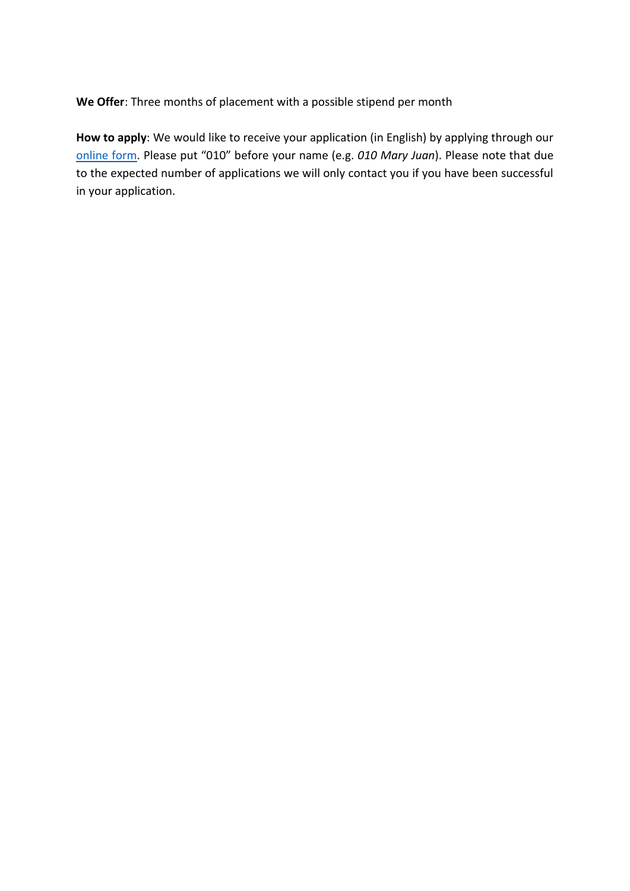**We Offer**: Three months of placement with a possible stipend per month

**How to apply**: We would like to receive your application (in English) by applying through our [online form](https://forms.office.com/pages/responsepage.aspx?id=kJer0-Jq2EuqXgKGRIPnxyWATixdyg9CtkzuQuPTuCNUNVQ2N0FQTjVVRlhESUw2STBQVE1IRFdaMS4u). Please put "010" before your name (e.g. *010 Mary Juan*). Please note that due to the expected number of applications we will only contact you if you have been successful in your application.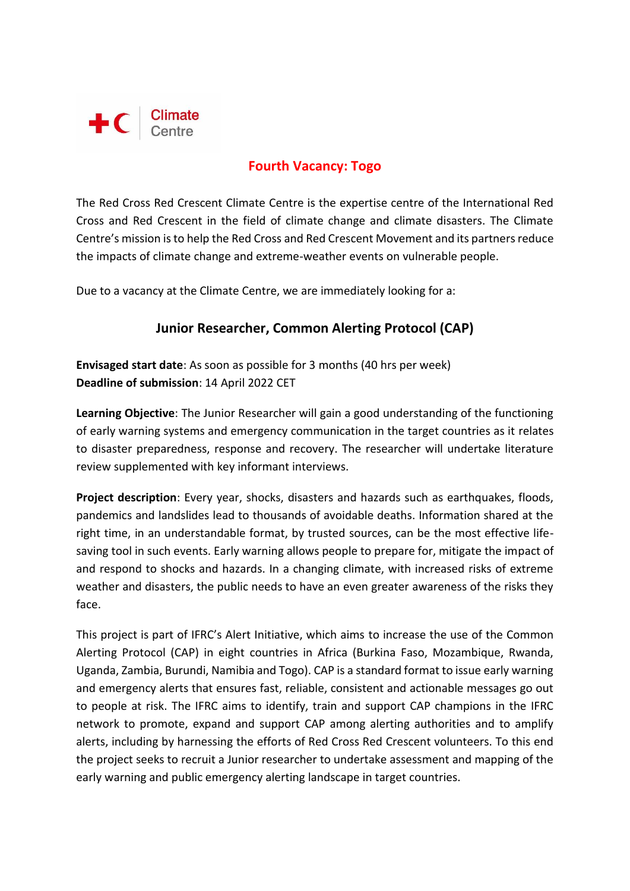

# **Fourth Vacancy: Togo**

The Red Cross Red Crescent Climate Centre is the expertise centre of the International Red Cross and Red Crescent in the field of climate change and climate disasters. The Climate Centre's mission is to help the Red Cross and Red Crescent Movement and its partners reduce the impacts of climate change and extreme-weather events on vulnerable people.

Due to a vacancy at the Climate Centre, we are immediately looking for a:

# **Junior Researcher, Common Alerting Protocol (CAP)**

**Envisaged start date**: As soon as possible for 3 months (40 hrs per week) **Deadline of submission**: 14 April 2022 CET

**Learning Objective**: The Junior Researcher will gain a good understanding of the functioning of early warning systems and emergency communication in the target countries as it relates to disaster preparedness, response and recovery. The researcher will undertake literature review supplemented with key informant interviews.

**Project description**: Every year, shocks, disasters and hazards such as earthquakes, floods, pandemics and landslides lead to thousands of avoidable deaths. Information shared at the right time, in an understandable format, by trusted sources, can be the most effective lifesaving tool in such events. Early warning allows people to prepare for, mitigate the impact of and respond to shocks and hazards. In a changing climate, with increased risks of extreme weather and disasters, the public needs to have an even greater awareness of the risks they face.

This project is part of IFRC's Alert Initiative, which aims to increase the use of the Common Alerting Protocol (CAP) in eight countries in Africa (Burkina Faso, Mozambique, Rwanda, Uganda, Zambia, Burundi, Namibia and Togo). CAP is a standard format to issue early warning and emergency alerts that ensures fast, reliable, consistent and actionable messages go out to people at risk. The IFRC aims to identify, train and support CAP champions in the IFRC network to promote, expand and support CAP among alerting authorities and to amplify alerts, including by harnessing the efforts of Red Cross Red Crescent volunteers. To this end the project seeks to recruit a Junior researcher to undertake assessment and mapping of the early warning and public emergency alerting landscape in target countries.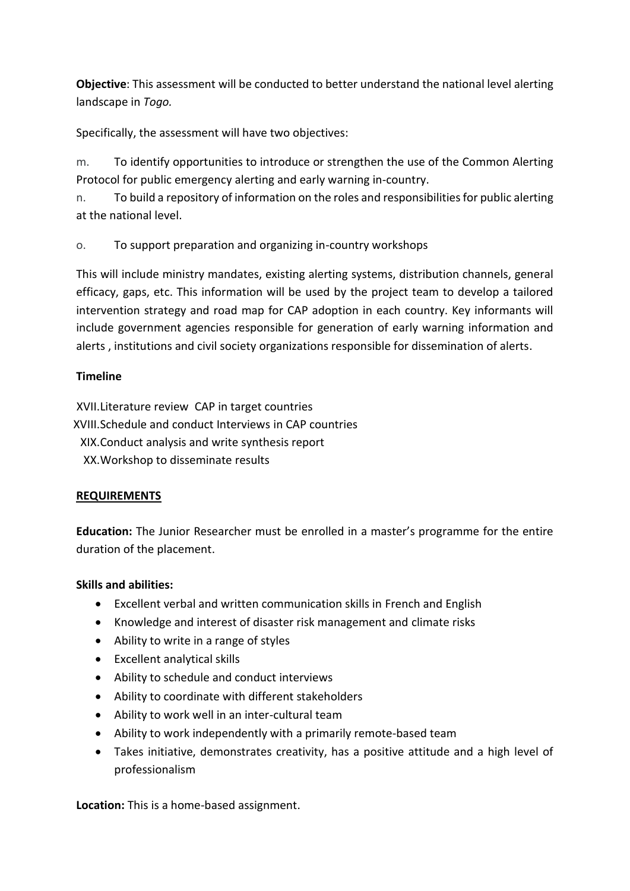**Objective**: This assessment will be conducted to better understand the national level alerting landscape in *Togo.*

Specifically, the assessment will have two objectives:

m. To identify opportunities to introduce or strengthen the use of the Common Alerting Protocol for public emergency alerting and early warning in-country.

n. To build a repository of information on the roles and responsibilities for public alerting at the national level.

o. To support preparation and organizing in-country workshops

This will include ministry mandates, existing alerting systems, distribution channels, general efficacy, gaps, etc. This information will be used by the project team to develop a tailored intervention strategy and road map for CAP adoption in each country. Key informants will include government agencies responsible for generation of early warning information and alerts , institutions and civil society organizations responsible for dissemination of alerts.

### **Timeline**

XVII.Literature review CAP in target countries XVIII.Schedule and conduct Interviews in CAP countries XIX.Conduct analysis and write synthesis report XX.Workshop to disseminate results

### **REQUIREMENTS**

**Education:** The Junior Researcher must be enrolled in a master's programme for the entire duration of the placement.

### **Skills and abilities:**

- Excellent verbal and written communication skills in French and English
- Knowledge and interest of disaster risk management and climate risks
- Ability to write in a range of styles
- Excellent analytical skills
- Ability to schedule and conduct interviews
- Ability to coordinate with different stakeholders
- Ability to work well in an inter-cultural team
- Ability to work independently with a primarily remote-based team
- Takes initiative, demonstrates creativity, has a positive attitude and a high level of professionalism

**Location:** This is a home-based assignment.